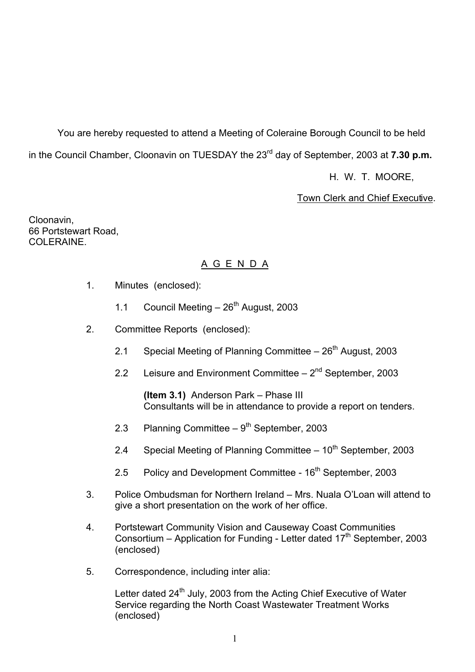You are hereby requested to attend a Meeting of Coleraine Borough Council to be held in the Council Chamber, Cloonavin on TUESDAY the 23<sup>rd</sup> day of September, 2003 at **7.30 p.m.** 

H. W. T. MOORE,

Town Clerk and Chief Executive.

Cloonavin, 66 Portstewart Road, COLERAINE

## A G E N D A

- 1. Minutes (enclosed):
	- 1.1 Council Meeting  $-26^{th}$  August, 2003
- 2. Committee Reports (enclosed):
	- 2.1 Special Meeting of Planning Committee  $-26<sup>th</sup>$  August, 2003
	- 2.2 Leisure and Environment Committee  $-2^{nd}$  September, 2003

**(Item 3.1)** Anderson Park – Phase III Consultants will be in attendance to provide a report on tenders.

- 2.3 Planning Committee  $-9^{th}$  September, 2003
- 2.4 Special Meeting of Planning Committee  $-10^{th}$  September, 2003
- 2.5 Policy and Development Committee 16<sup>th</sup> September, 2003
- 3. Police Ombudsman for Northern Ireland Mrs. Nuala O'Loan will attend to give a short presentation on the work of her office.
- 4. Portstewart Community Vision and Causeway Coast Communities Consortium – Application for Funding - Letter dated  $17<sup>th</sup>$  September, 2003 (enclosed)
- 5. Correspondence, including inter alia:

Letter dated 24<sup>th</sup> July, 2003 from the Acting Chief Executive of Water Service regarding the North Coast Wastewater Treatment Works (enclosed)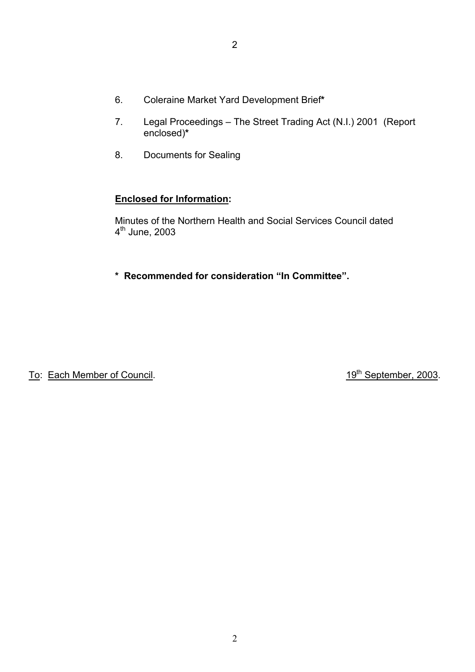- 6. Coleraine Market Yard Development Brief**\***
- 7. Legal Proceedings The Street Trading Act (N.I.) 2001 (Report enclosed)**\***
- 8. Documents for Sealing

#### **Enclosed for Information:**

Minutes of the Northern Health and Social Services Council dated 4<sup>th</sup> June, 2003

\* Recommended for consideration "In Committee".

To: Each Member of Council. To: Each Member, 2003.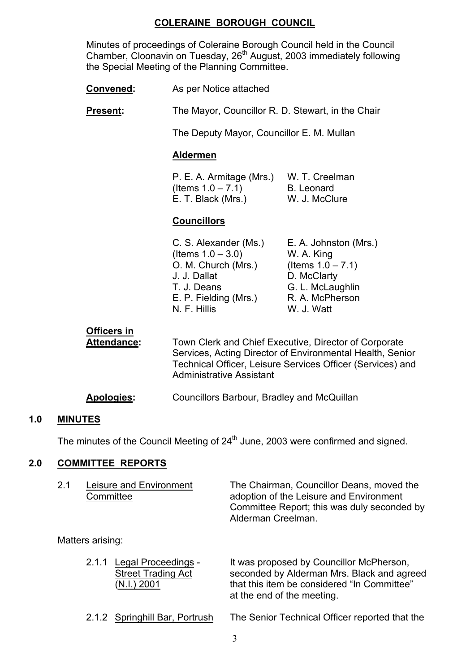#### **COLERAINE BOROUGH COUNCIL**

 Minutes of proceedings of Coleraine Borough Council held in the Council Chamber, Cloonavin on Tuesday, 26<sup>th</sup> August, 2003 immediately following the Special Meeting of the Planning Committee.

**Convened:** As per Notice attached

**Present:** The Mayor, Councillor R. D. Stewart, in the Chair

The Deputy Mayor, Councillor E. M. Mullan

#### **Aldermen**

P. E. A. Armitage (Mrs.) W. T. Creelman  $($ ltems  $1.0 - 7.1)$  B. Leonard E. T. Black (Mrs.) W. J. McClure

#### **Councillors**

| E. A. Johnston (Mrs.) |
|-----------------------|
| W. A. King            |
| (Items $1.0 - 7.1$ )  |
| D. McClarty           |
| G. L. McLaughlin      |
| R. A. McPherson       |
| W. J. Watt            |
|                       |

 **Officers in Attendance:** Town Clerk and Chief Executive, Director of Corporate Services, Acting Director of Environmental Health, Senior Technical Officer, Leisure Services Officer (Services) and Administrative Assistant

#### **Apologies:** Councillors Barbour, Bradley and McQuillan

#### **1.0 MINUTES**

The minutes of the Council Meeting of  $24<sup>th</sup>$  June, 2003 were confirmed and signed.

#### **2.0 COMMITTEE REPORTS**

| 2.1 | Leisure and Environment | The Chairman, Councillor Deans, moved the   |
|-----|-------------------------|---------------------------------------------|
|     | Committee               | adoption of the Leisure and Environment     |
|     |                         | Committee Report; this was duly seconded by |
|     |                         | Alderman Creelman.                          |

Matters arising:

| 2.1.1 Legal Proceedings -<br><b>Street Trading Act</b><br>(N.I.) 2001 | It was proposed by Councillor McPherson,<br>seconded by Alderman Mrs. Black and agreed<br>that this item be considered "In Committee"<br>at the end of the meeting. |
|-----------------------------------------------------------------------|---------------------------------------------------------------------------------------------------------------------------------------------------------------------|
|                                                                       |                                                                                                                                                                     |

2.1.2 Springhill Bar, Portrush The Senior Technical Officer reported that the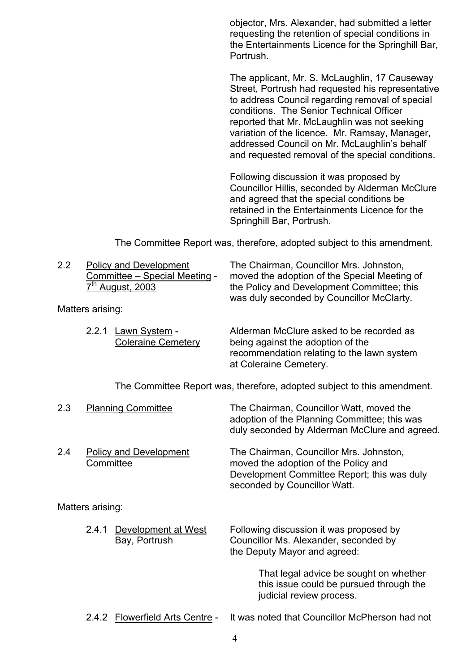objector, Mrs. Alexander, had submitted a letter requesting the retention of special conditions in the Entertainments Licence for the Springhill Bar, Portrush.

The applicant, Mr. S. McLaughlin, 17 Causeway Street, Portrush had requested his representative to address Council regarding removal of special conditions. The Senior Technical Officer reported that Mr. McLaughlin was not seeking variation of the licence. Mr. Ramsay, Manager, addressed Council on Mr. McLaughlin's behalf and requested removal of the special conditions.

Following discussion it was proposed by Councillor Hillis, seconded by Alderman McClure and agreed that the special conditions be retained in the Entertainments Licence for the Springhill Bar, Portrush.

The Committee Report was, therefore, adopted subject to this amendment.

| 2.2 | <b>Policy and Development</b> |
|-----|-------------------------------|
|     | Committee – Special Meeting - |
|     | $7th$ August, 2003            |

Matters arising:

The Chairman, Councillor Mrs. Johnston, moved the adoption of the Special Meeting of the Policy and Development Committee; this was duly seconded by Councillor McClarty.

| 2.2.1 Lawn System -<br><b>Coleraine Cemetery</b> | Alderman McClure asked to be recorded as<br>being against the adoption of the<br>recommendation relating to the lawn system<br>at Coleraine Cemetery. |
|--------------------------------------------------|-------------------------------------------------------------------------------------------------------------------------------------------------------|
|                                                  |                                                                                                                                                       |
|                                                  |                                                                                                                                                       |

The Committee Report was, therefore, adopted subject to this amendment.

| 2.3 |                  | <b>Planning Committee</b>            | The Chairman, Councillor Watt, moved the<br>adoption of the Planning Committee; this was<br>duly seconded by Alderman McClure and agreed.                      |
|-----|------------------|--------------------------------------|----------------------------------------------------------------------------------------------------------------------------------------------------------------|
| 2.4 | Committee        | <b>Policy and Development</b>        | The Chairman, Councillor Mrs. Johnston,<br>moved the adoption of the Policy and<br>Development Committee Report; this was duly<br>seconded by Councillor Watt. |
|     | Matters arising: |                                      |                                                                                                                                                                |
|     | 2.4.1            | Development at West<br>Bay, Portrush | Following discussion it was proposed by<br>Councillor Ms. Alexander, seconded by<br>the Deputy Mayor and agreed:                                               |

 That legal advice be sought on whether this issue could be pursued through the judicial review process.

2.4.2 Flowerfield Arts Centre - It was noted that Councillor McPherson had not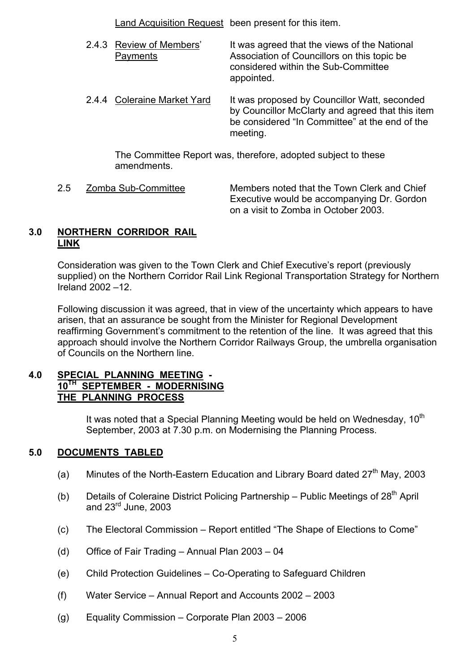Land Acquisition Request been present for this item.

- 2.4.3 Review of Members' It was agreed that the views of the National Payments Association of Councillors on this topic be considered within the Sub-Committee appointed.
- 2.4.4 Coleraine Market Yard It was proposed by Councillor Watt, seconded by Councillor McClarty and agreed that this item be considered "In Committee" at the end of the meeting.

 The Committee Report was, therefore, adopted subject to these amendments.

2.5 Zomba Sub-Committee Members noted that the Town Clerk and Chief Executive would be accompanying Dr. Gordon on a visit to Zomba in October 2003.

#### **3.0 NORTHERN CORRIDOR RAIL LINK**

Consideration was given to the Town Clerk and Chief Executive's report (previously supplied) on the Northern Corridor Rail Link Regional Transportation Strategy for Northern Ireland  $2002 - 12$ .

Following discussion it was agreed, that in view of the uncertainty which appears to have arisen, that an assurance be sought from the Minister for Regional Development reaffirming Government's commitment to the retention of the line. It was agreed that this approach should involve the Northern Corridor Railways Group, the umbrella organisation of Councils on the Northern line.

#### **4.0 SPECIAL PLANNING MEETING - 10TH SEPTEMBER - MODERNISING THE PLANNING PROCESS**

It was noted that a Special Planning Meeting would be held on Wednesday, 10<sup>th</sup> September, 2003 at 7.30 p.m. on Modernising the Planning Process.

## **5.0 DOCUMENTS TABLED**

- (a) Minutes of the North-Eastern Education and Library Board dated  $27<sup>th</sup>$  May, 2003
- (b) Details of Coleraine District Policing Partnership Public Meetings of  $28<sup>th</sup>$  April and  $23<sup>rd</sup>$  June, 2003
- $(c)$  The Electoral Commission Report entitled "The Shape of Elections to Come"
- (d) Office of Fair Trading  $-$  Annual Plan 2003  $-$  04
- (e) Child Protection Guidelines Co-Operating to Safeguard Children
- (f) Water Service Annual Report and Accounts  $2002 2003$
- (g) Equality Commission Corporate Plan  $2003 2006$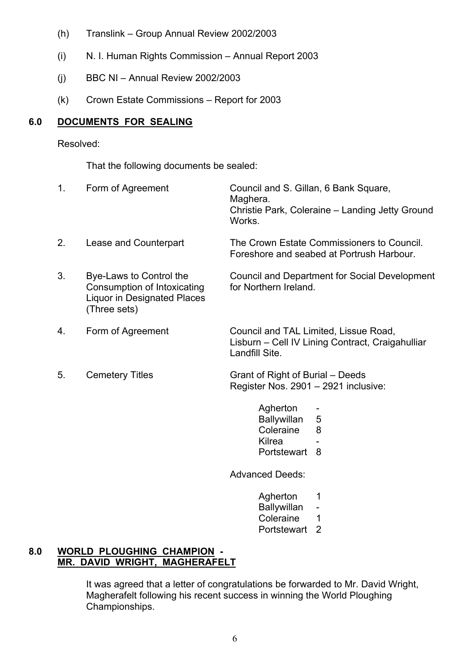- $(h)$  Translink Group Annual Review 2002/2003
- $(i)$  N. I. Human Rights Commission Annual Report 2003
- (j) BBC NI Annual Review 2002/2003
- $(k)$  Crown Estate Commissions Report for 2003

## **6.0 DOCUMENTS FOR SEALING**

Resolved:

That the following documents be sealed:

| 1. | Form of Agreement                                                                                            | Council and S. Gillan, 6 Bank Square,<br>Maghera.<br>Christie Park, Coleraine - Landing Jetty Ground<br>Works. |
|----|--------------------------------------------------------------------------------------------------------------|----------------------------------------------------------------------------------------------------------------|
| 2. | Lease and Counterpart                                                                                        | The Crown Estate Commissioners to Council.<br>Foreshore and seabed at Portrush Harbour.                        |
| 3. | Bye-Laws to Control the<br>Consumption of Intoxicating<br><b>Liquor in Designated Places</b><br>(Three sets) | Council and Department for Social Development<br>for Northern Ireland.                                         |
| 4. | Form of Agreement                                                                                            | Council and TAL Limited, Lissue Road,<br>Lisburn - Cell IV Lining Contract, Craigahulliar<br>Landfill Site.    |
| 5. | <b>Cemetery Titles</b>                                                                                       | Grant of Right of Burial – Deeds<br>Register Nos. 2901 - 2921 inclusive:                                       |
|    |                                                                                                              | Anherton                                                                                                       |

- Agherton Ballywillan 5 Coleraine 8 <u>Kilrea dhexe a shekara ta 1979, a shekara ta 1979, a shekara ta 1979, a shekara ta 1979, a shekara ta 1979</u>, a sh
	- Portstewart 8

Advanced Deeds:

- Agherton 1 Ballywillan -
- Coleraine 1
- Portstewart 2

#### **8.0 WORLD PLOUGHING CHAMPION - MR. DAVID WRIGHT, MAGHERAFELT**

 It was agreed that a letter of congratulations be forwarded to Mr. David Wright, Magherafelt following his recent success in winning the World Ploughing Championships.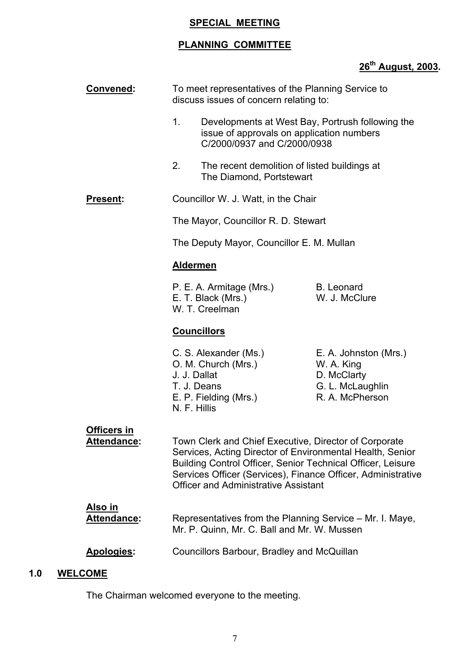## **SPECIAL MEETING**

## **PLANNING COMMITTEE**

## **26th August, 2003.**

|     | <b>Convened:</b>                     | To meet representatives of the Planning Service to<br>discuss issues of concern relating to:                                                                                                                                                                                                     |                                                                                           |
|-----|--------------------------------------|--------------------------------------------------------------------------------------------------------------------------------------------------------------------------------------------------------------------------------------------------------------------------------------------------|-------------------------------------------------------------------------------------------|
|     |                                      | 1.<br>Developments at West Bay, Portrush following the<br>issue of approvals on application numbers<br>C/2000/0937 and C/2000/0938                                                                                                                                                               |                                                                                           |
|     |                                      | 2.<br>The recent demolition of listed buildings at<br>The Diamond, Portstewart                                                                                                                                                                                                                   |                                                                                           |
|     | <b>Present:</b>                      | Councillor W. J. Watt, in the Chair                                                                                                                                                                                                                                                              |                                                                                           |
|     |                                      | The Mayor, Councillor R. D. Stewart                                                                                                                                                                                                                                                              |                                                                                           |
|     |                                      | The Deputy Mayor, Councillor E. M. Mullan                                                                                                                                                                                                                                                        |                                                                                           |
|     |                                      | <b>Aldermen</b>                                                                                                                                                                                                                                                                                  |                                                                                           |
|     |                                      | P. E. A. Armitage (Mrs.)<br>E. T. Black (Mrs.)<br>W. T. Creelman                                                                                                                                                                                                                                 | <b>B.</b> Leonard<br>W. J. McClure                                                        |
|     |                                      | <b>Councillors</b>                                                                                                                                                                                                                                                                               |                                                                                           |
|     |                                      | C. S. Alexander (Ms.)<br>O. M. Church (Mrs.)<br>J. J. Dallat<br>T. J. Deans<br>E. P. Fielding (Mrs.)<br>N. F. Hillis                                                                                                                                                                             | E. A. Johnston (Mrs.)<br>W. A. King<br>D. McClarty<br>G. L. McLaughlin<br>R. A. McPherson |
|     | Officers in<br><b>Attendance:</b>    | Town Clerk and Chief Executive, Director of Corporate<br>Services, Acting Director of Environmental Health, Senior<br>Building Control Officer, Senior Technical Officer, Leisure<br>Services Officer (Services), Finance Officer, Administrative<br><b>Officer and Administrative Assistant</b> |                                                                                           |
|     | <u>Also in</u><br><b>Attendance:</b> | Representatives from the Planning Service – Mr. I. Maye,<br>Mr. P. Quinn, Mr. C. Ball and Mr. W. Mussen                                                                                                                                                                                          |                                                                                           |
|     | Apologies:                           | Councillors Barbour, Bradley and McQuillan                                                                                                                                                                                                                                                       |                                                                                           |
| 1.0 | <b>WELCOME</b>                       |                                                                                                                                                                                                                                                                                                  |                                                                                           |

The Chairman welcomed everyone to the meeting.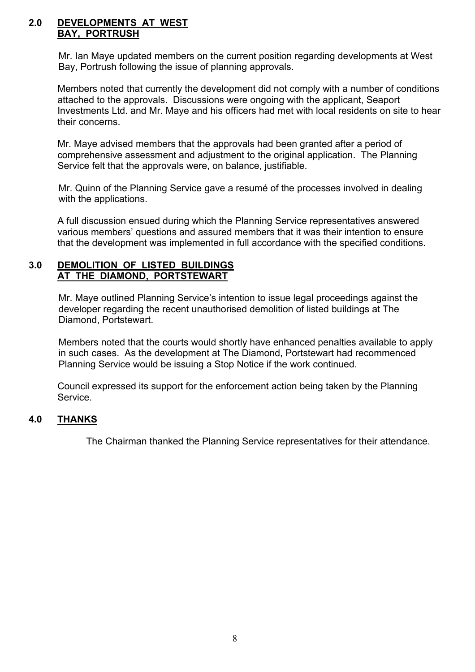#### **2.0 DEVELOPMENTS AT WEST BAY, PORTRUSH**

Mr. Ian Maye updated members on the current position regarding developments at West Bay, Portrush following the issue of planning approvals.

Members noted that currently the development did not comply with a number of conditions attached to the approvals. Discussions were ongoing with the applicant, Seaport Investments Ltd. and Mr. Maye and his officers had met with local residents on site to hear their concerns.

Mr. Maye advised members that the approvals had been granted after a period of comprehensive assessment and adjustment to the original application. The Planning Service felt that the approvals were, on balance, justifiable.

Mr. Quinn of the Planning Service gave a resumé of the processes involved in dealing with the applications.

A full discussion ensued during which the Planning Service representatives answered various members' questions and assured members that it was their intention to ensure that the development was implemented in full accordance with the specified conditions.

#### **3.0 DEMOLITION OF LISTED BUILDINGS AT THE DIAMOND, PORTSTEWART**

Mr. Maye outlined Planning Service's intention to issue legal proceedings against the developer regarding the recent unauthorised demolition of listed buildings at The Diamond, Portstewart.

Members noted that the courts would shortly have enhanced penalties available to apply in such cases. As the development at The Diamond, Portstewart had recommenced Planning Service would be issuing a Stop Notice if the work continued.

Council expressed its support for the enforcement action being taken by the Planning Service.

#### **4.0 THANKS**

The Chairman thanked the Planning Service representatives for their attendance.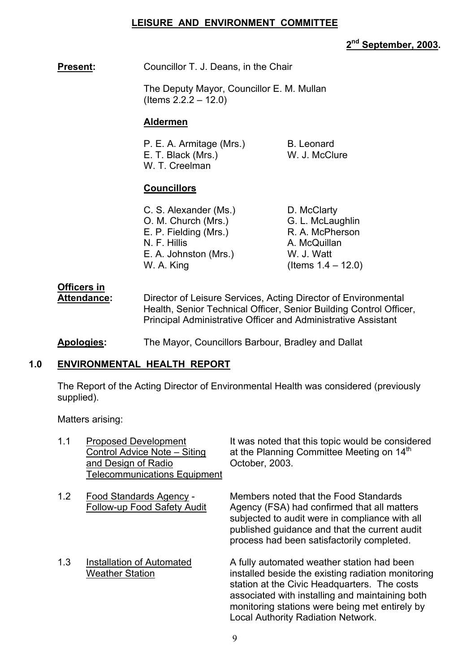#### **LEISURE AND ENVIRONMENT COMMITTEE**

**2nd September, 2003.** 

#### **Present:** Councillor T. J. Deans, in the Chair

 The Deputy Mayor, Councillor E. M. Mullan  $($  Items  $2.2.2 - 12.0)$ 

#### **Aldermen**

| P. E. A. Armitage (Mrs.) | <b>B.</b> Leonard |
|--------------------------|-------------------|
| E. T. Black (Mrs.)       | W. J. McClure     |
| W. T. Creelman           |                   |

#### **Councillors**

| C. S. Alexander (Ms.) | D. McClarty           |
|-----------------------|-----------------------|
| O. M. Church (Mrs.)   | G. L. McLaughlin      |
| E. P. Fielding (Mrs.) | R. A. McPherson       |
| N. F. Hillis          | A. McQuillan          |
| E. A. Johnston (Mrs.) | W. J. Watt            |
| W. A. King            | (Items $1.4 - 12.0$ ) |
|                       |                       |

# **Officers in**

Attendance: Director of Leisure Services, Acting Director of Environmental Health, Senior Technical Officer, Senior Building Control Officer, Principal Administrative Officer and Administrative Assistant

**Apologies:** The Mayor, Councillors Barbour, Bradley and Dallat

## **1.0 ENVIRONMENTAL HEALTH REPORT**

The Report of the Acting Director of Environmental Health was considered (previously supplied).

Matters arising:

| 1.1 | <b>Proposed Development</b><br>Control Advice Note - Siting<br>and Design of Radio<br><b>Telecommunications Equipment</b> | It was noted that this topic would be considered<br>at the Planning Committee Meeting on 14 <sup>th</sup><br>October, 2003.                                                                                                                                                                        |
|-----|---------------------------------------------------------------------------------------------------------------------------|----------------------------------------------------------------------------------------------------------------------------------------------------------------------------------------------------------------------------------------------------------------------------------------------------|
| 1.2 | Food Standards Agency -<br>Follow-up Food Safety Audit                                                                    | Members noted that the Food Standards<br>Agency (FSA) had confirmed that all matters<br>subjected to audit were in compliance with all<br>published guidance and that the current audit<br>process had been satisfactorily completed.                                                              |
| 1.3 | <b>Installation of Automated</b><br><b>Weather Station</b>                                                                | A fully automated weather station had been<br>installed beside the existing radiation monitoring<br>station at the Civic Headquarters. The costs<br>associated with installing and maintaining both<br>monitoring stations were being met entirely by<br><b>Local Authority Radiation Network.</b> |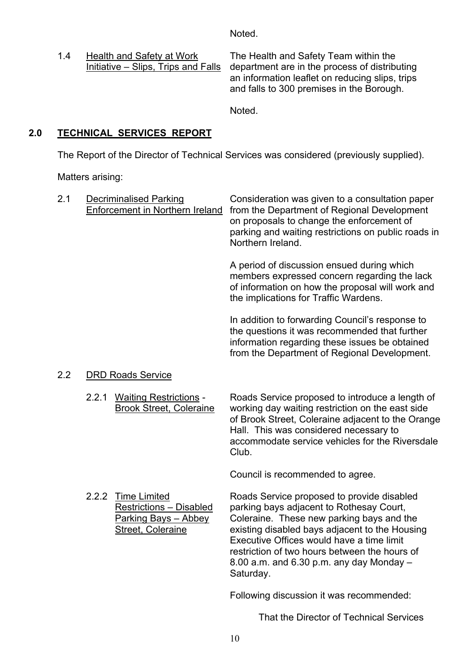Noted.

1.4 Health and Safety at Work The Health and Safety Team within the<br>Initiative – Slips, Trips and Falls department are in the process of distribu department are in the process of distributing an information leaflet on reducing slips, trips and falls to 300 premises in the Borough.

Noted.

## **2.0 TECHNICAL SERVICES REPORT**

The Report of the Director of Technical Services was considered (previously supplied).

Matters arising:

| 2.1 |       | <b>Decriminalised Parking</b><br>Enforcement in Northern Ireland                                                 | Consideration was given to a consultation paper<br>from the Department of Regional Development<br>on proposals to change the enforcement of<br>parking and waiting restrictions on public roads in<br>Northern Ireland.                                                                                                                          |
|-----|-------|------------------------------------------------------------------------------------------------------------------|--------------------------------------------------------------------------------------------------------------------------------------------------------------------------------------------------------------------------------------------------------------------------------------------------------------------------------------------------|
|     |       |                                                                                                                  | A period of discussion ensued during which<br>members expressed concern regarding the lack<br>of information on how the proposal will work and<br>the implications for Traffic Wardens.                                                                                                                                                          |
|     |       |                                                                                                                  | In addition to forwarding Council's response to<br>the questions it was recommended that further<br>information regarding these issues be obtained<br>from the Department of Regional Development.                                                                                                                                               |
| 2.2 |       | <b>DRD Roads Service</b>                                                                                         |                                                                                                                                                                                                                                                                                                                                                  |
|     | 2.2.1 | <b>Waiting Restrictions -</b><br><b>Brook Street, Coleraine</b>                                                  | Roads Service proposed to introduce a length of<br>working day waiting restriction on the east side<br>of Brook Street, Coleraine adjacent to the Orange<br>Hall. This was considered necessary to<br>accommodate service vehicles for the Riversdale<br>Club.                                                                                   |
|     |       |                                                                                                                  | Council is recommended to agree.                                                                                                                                                                                                                                                                                                                 |
|     | 2.2.2 | <b>Time Limited</b><br><b>Restrictions - Disabled</b><br><b>Parking Bays - Abbey</b><br><b>Street, Coleraine</b> | Roads Service proposed to provide disabled<br>parking bays adjacent to Rothesay Court,<br>Coleraine. These new parking bays and the<br>existing disabled bays adjacent to the Housing<br>Executive Offices would have a time limit<br>restriction of two hours between the hours of<br>8.00 a.m. and $6.30$ p.m. any day Monday $-$<br>Saturday. |
|     |       |                                                                                                                  | Following discussion it was recommended:                                                                                                                                                                                                                                                                                                         |
|     |       |                                                                                                                  | That the Director of Technical Services                                                                                                                                                                                                                                                                                                          |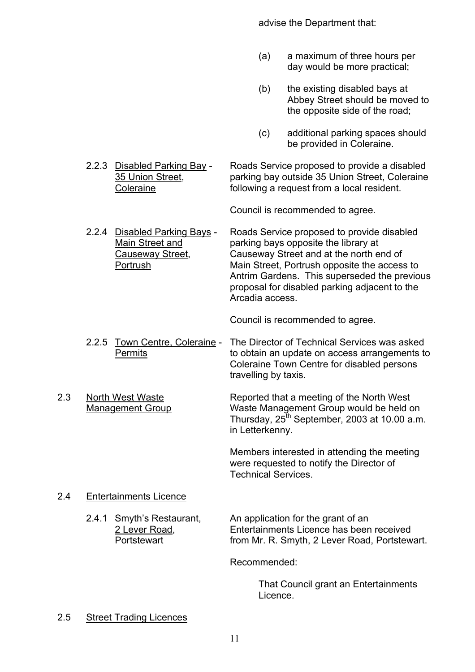advise the Department that:

- (a) a maximum of three hours per day would be more practical;
- (b) the existing disabled bays at Abbey Street should be moved to the opposite side of the road;
- (c) additional parking spaces should be provided in Coleraine.
- 2.2.3 Disabled Parking Bay Roads Service proposed to provide a disabled 35 Union Street, parking bay outside 35 Union Street, Coleraine Coleraine following a request from a local resident.

Council is recommended to agree.

2.2.4 Disabled Parking Bays - Roads Service proposed to provide disabled<br>Main Street and parking bays opposite the library at parking bays opposite the library at Causeway Street, Causeway Street and at the north end of Portrush Main Street, Portrush opposite the access to Antrim Gardens. This superseded the previous proposal for disabled parking adjacent to the Arcadia access.

Council is recommended to agree.

- 2.2.5 Town Centre, Coleraine The Director of Technical Services was asked Permits to obtain an update on access arrangements to Coleraine Town Centre for disabled persons travelling by taxis.
- 2.3 North West Waste Reported that a meeting of the North West Management Group Waste Management Group would be held on Thursday,  $25^{th}$  September, 2003 at 10.00 a.m. in Letterkenny.

 Members interested in attending the meeting were requested to notify the Director of Technical Services.

#### 2.4 Entertainments Licence

2.4.1 Smyth's Restaurant, An application for the grant of an 2 Lever Road, Entertainments Licence has been received Portstewart **From Mr. R. Smyth, 2 Lever Road, Portstewart.** 

Recommended:

 That Council grant an Entertainments Licence.

#### 2.5 Street Trading Licences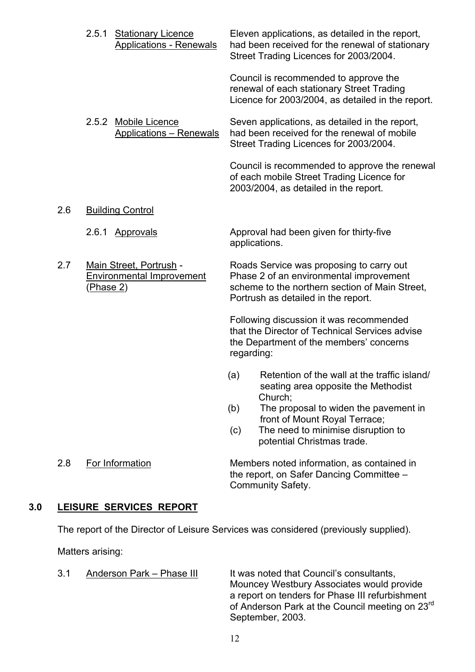- 2.5.1 Stationary Licence Eleven applications, as detailed in the report, Applications - Renewals had been received for the renewal of stationary Street Trading Licences for 2003/2004. Council is recommended to approve the renewal of each stationary Street Trading Licence for 2003/2004, as detailed in the report. 2.5.2 Mobile Licence Seven applications, as detailed in the report, Applications – Renewals had been received for the renewal of mobile Street Trading Licences for 2003/2004. Council is recommended to approve the renewal of each mobile Street Trading Licence for 2003/2004, as detailed in the report. 2.6 Building Control 2.6.1 Approvals Approval had been given for thirty-five applications.
- 

2.7 Main Street, Portrush - Roads Service was proposing to carry out Environmental Improvement Phase 2 of an environmental improvement (Phase 2) scheme to the northern section of Main Street, Portrush as detailed in the report.

> Following discussion it was recommended that the Director of Technical Services advise the Department of the members' concerns regarding:

- (a) Retention of the wall at the traffic island/ seating area opposite the Methodist Church;
- (b) The proposal to widen the pavement in front of Mount Royal Terrace;
- (c) The need to minimise disruption to potential Christmas trade.

 2.8 For Information Members noted information, as contained in the report, on Safer Dancing Committee  $-$ Community Safety.

#### **3.0 LEISURE SERVICES REPORT**

The report of the Director of Leisure Services was considered (previously supplied).

Matters arising:

3.1 Anderson Park – Phase III It was noted that Council's consultants, Mouncey Westbury Associates would provide a report on tenders for Phase III refurbishment of Anderson Park at the Council meeting on 23<sup>rd</sup> September, 2003.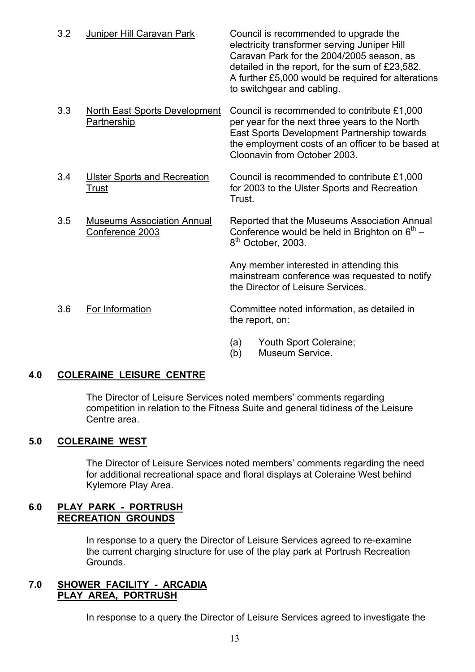| 3.2 | Juniper Hill Caravan Park                            | Council is recommended to upgrade the<br>electricity transformer serving Juniper Hill<br>Caravan Park for the 2004/2005 season, as<br>detailed in the report, for the sum of £23,582.<br>A further £5,000 would be required for alterations<br>to switchgear and cabling. |
|-----|------------------------------------------------------|---------------------------------------------------------------------------------------------------------------------------------------------------------------------------------------------------------------------------------------------------------------------------|
| 3.3 | North East Sports Development<br>Partnership         | Council is recommended to contribute £1,000<br>per year for the next three years to the North<br>East Sports Development Partnership towards<br>the employment costs of an officer to be based at<br>Cloonavin from October 2003.                                         |
| 3.4 | <b>Ulster Sports and Recreation</b><br>Trust         | Council is recommended to contribute £1,000<br>for 2003 to the Ulster Sports and Recreation<br>Trust.                                                                                                                                                                     |
| 3.5 | <b>Museums Association Annual</b><br>Conference 2003 | Reported that the Museums Association Annual<br>Conference would be held in Brighton on $6th$ –<br>8 <sup>th</sup> October, 2003.                                                                                                                                         |

Any member interested in attending this mainstream conference was requested to notify the Director of Leisure Services.

- 3.6 For Information Committee noted information, as detailed in the report, on:
	- (a) Youth Sport Coleraine;
	- (b) Museum Service.

#### **4.0 COLERAINE LEISURE CENTRE**

The Director of Leisure Services noted members' comments regarding competition in relation to the Fitness Suite and general tidiness of the Leisure Centre area.

#### **5.0 COLERAINE WEST**

The Director of Leisure Services noted members' comments regarding the need for additional recreational space and floral displays at Coleraine West behind Kylemore Play Area.

#### **6.0 PLAY PARK - PORTRUSH RECREATION GROUNDS**

 In response to a query the Director of Leisure Services agreed to re-examine the current charging structure for use of the play park at Portrush Recreation Grounds.

#### **7.0 SHOWER FACILITY - ARCADIA PLAY AREA, PORTRUSH**

In response to a query the Director of Leisure Services agreed to investigate the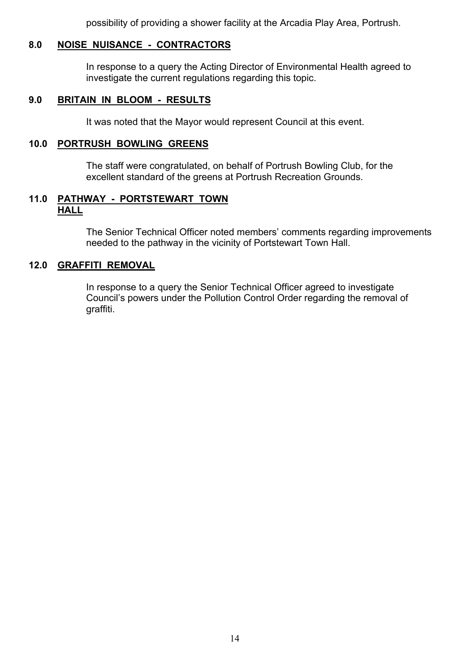possibility of providing a shower facility at the Arcadia Play Area, Portrush.

#### **8.0 NOISE NUISANCE - CONTRACTORS**

 In response to a query the Acting Director of Environmental Health agreed to investigate the current regulations regarding this topic.

#### **9.0 BRITAIN IN BLOOM - RESULTS**

It was noted that the Mayor would represent Council at this event.

#### **10.0 PORTRUSH BOWLING GREENS**

 The staff were congratulated, on behalf of Portrush Bowling Club, for the excellent standard of the greens at Portrush Recreation Grounds.

#### **11.0 PATHWAY - PORTSTEWART TOWN HALL**

The Senior Technical Officer noted members' comments regarding improvements needed to the pathway in the vicinity of Portstewart Town Hall.

#### **12.0 GRAFFITI REMOVAL**

 In response to a query the Senior Technical Officer agreed to investigate Council's powers under the Pollution Control Order regarding the removal of graffiti.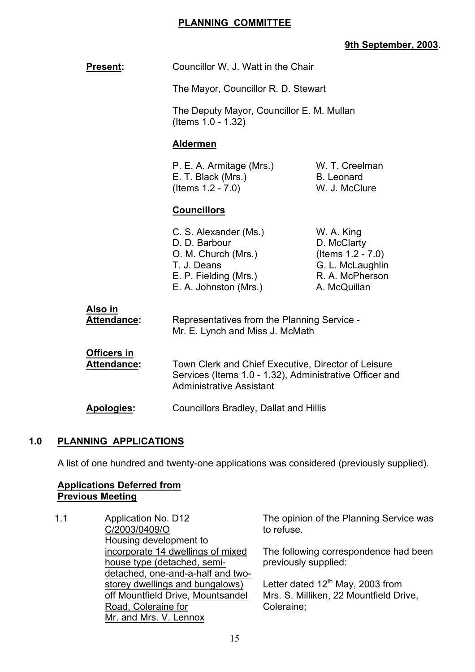#### **PLANNING COMMITTEE**

## **9th September, 2003.**

| <b>Present:</b>                          | Councillor W. J. Watt in the Chair                                                                                                                |                                                                                                       |
|------------------------------------------|---------------------------------------------------------------------------------------------------------------------------------------------------|-------------------------------------------------------------------------------------------------------|
|                                          | The Mayor, Councillor R. D. Stewart                                                                                                               |                                                                                                       |
|                                          | The Deputy Mayor, Councillor E. M. Mullan<br>(Items 1.0 - 1.32)                                                                                   |                                                                                                       |
|                                          | <b>Aldermen</b>                                                                                                                                   |                                                                                                       |
|                                          | P. E. A. Armitage (Mrs.)<br>E. T. Black (Mrs.)<br>(Items $1.2 - 7.0$ )                                                                            | W. T. Creelman<br><b>B.</b> Leonard<br>W. J. McClure                                                  |
|                                          | <b>Councillors</b>                                                                                                                                |                                                                                                       |
|                                          | C. S. Alexander (Ms.)<br>D. D. Barbour<br>O. M. Church (Mrs.)<br>T. J. Deans<br>E. P. Fielding (Mrs.)<br>E. A. Johnston (Mrs.)                    | W. A. King<br>D. McClarty<br>(Items 1.2 - 7.0)<br>G. L. McLaughlin<br>R. A. McPherson<br>A. McQuillan |
| Also in<br>Attendance:                   | Representatives from the Planning Service -<br>Mr. E. Lynch and Miss J. McMath                                                                    |                                                                                                       |
| <b>Officers in</b><br><b>Attendance:</b> | Town Clerk and Chief Executive, Director of Leisure<br>Services (Items 1.0 - 1.32), Administrative Officer and<br><b>Administrative Assistant</b> |                                                                                                       |
| Apologies:                               | <b>Councillors Bradley, Dallat and Hillis</b>                                                                                                     |                                                                                                       |
|                                          |                                                                                                                                                   |                                                                                                       |

#### **1.0 PLANNING APPLICATIONS**

A list of one hundred and twenty-one applications was considered (previously supplied).

#### **Applications Deferred from Previous Meeting**

1.1 Application No. D12 C/2003/0409/O Housing development to incorporate 14 dwellings of mixed house type (detached, semidetached, one-and-a-half and twostorey dwellings and bungalows) off Mountfield Drive, Mountsandel Road, Coleraine for Mr. and Mrs. V. Lennox

The opinion of the Planning Service was to refuse.

The following correspondence had been previously supplied:

Letter dated  $12^{th}$  May, 2003 from Mrs. S. Milliken, 22 Mountfield Drive, Coleraine;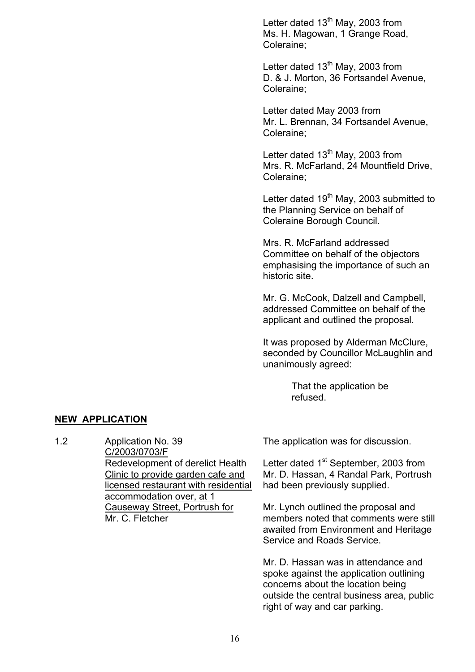Letter dated  $13<sup>th</sup>$  May, 2003 from Ms. H. Magowan, 1 Grange Road, Coleraine;

Letter dated  $13<sup>th</sup>$  May, 2003 from D. & J. Morton, 36 Fortsandel Avenue, Coleraine;

Letter dated May 2003 from Mr. L. Brennan, 34 Fortsandel Avenue, Coleraine;

Letter dated 13<sup>th</sup> May, 2003 from Mrs. R. McFarland, 24 Mountfield Drive, Coleraine;

Letter dated 19<sup>th</sup> May, 2003 submitted to the Planning Service on behalf of Coleraine Borough Council.

Mrs. R. McFarland addressed Committee on behalf of the objectors emphasising the importance of such an historic site.

Mr. G. McCook, Dalzell and Campbell, addressed Committee on behalf of the applicant and outlined the proposal.

It was proposed by Alderman McClure, seconded by Councillor McLaughlin and unanimously agreed:

> That the application be refused.

#### **NEW APPLICATION**

1.2 Application No. 39 C/2003/0703/F Redevelopment of derelict Health Clinic to provide garden cafe and licensed restaurant with residential accommodation over, at 1 Causeway Street, Portrush for Mr. C. Fletcher

The application was for discussion.

Letter dated 1<sup>st</sup> September, 2003 from Mr. D. Hassan, 4 Randal Park, Portrush had been previously supplied.

Mr. Lynch outlined the proposal and members noted that comments were still awaited from Environment and Heritage Service and Roads Service.

Mr. D. Hassan was in attendance and spoke against the application outlining concerns about the location being outside the central business area, public right of way and car parking.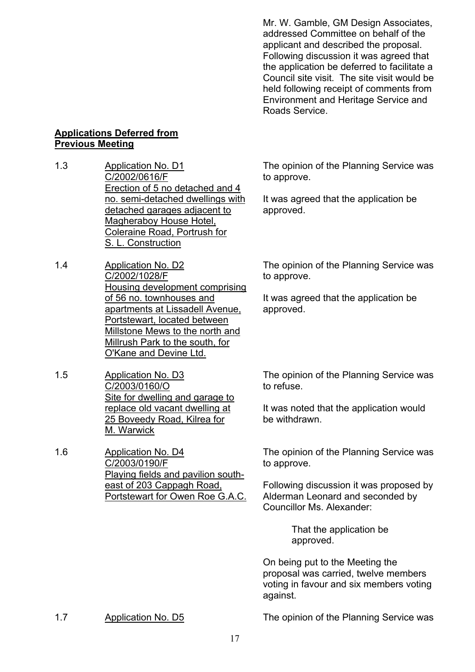Mr. W. Gamble, GM Design Associates, addressed Committee on behalf of the applicant and described the proposal. Following discussion it was agreed that the application be deferred to facilitate a Council site visit. The site visit would be held following receipt of comments from Environment and Heritage Service and Roads Service.

#### **Applications Deferred from Previous Meeting**

- 1.3 Application No. D1 C/2002/0616/F Erection of 5 no detached and 4 no. semi-detached dwellings with detached garages adjacent to Magheraboy House Hotel, Coleraine Road, Portrush for S. L. Construction
- 1.4 Application No. D2 C/2002/1028/F Housing development comprising of 56 no. townhouses and apartments at Lissadell Avenue, Portstewart, located between Millstone Mews to the north and Millrush Park to the south, for O'Kane and Devine Ltd.
- 1.5 Application No. D3 C/2003/0160/O Site for dwelling and garage to replace old vacant dwelling at 25 Boveedy Road, Kilrea for M. Warwick

1.6 Application No. D4 C/2003/0190/F Playing fields and pavilion southeast of 203 Cappagh Road, Portstewart for Owen Roe G.A.C. The opinion of the Planning Service was to approve.

It was agreed that the application be approved.

The opinion of the Planning Service was to approve.

It was agreed that the application be approved.

The opinion of the Planning Service was to refuse.

It was noted that the application would be withdrawn.

The opinion of the Planning Service was to approve.

Following discussion it was proposed by Alderman Leonard and seconded by Councillor Ms. Alexander:

> That the application be approved.

On being put to the Meeting the proposal was carried, twelve members voting in favour and six members voting against.

1.7 Application No. D5 The opinion of the Planning Service was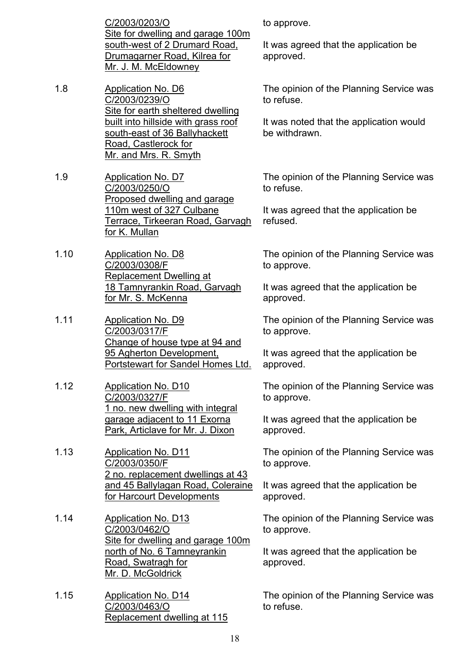C/2003/0203/O Site for dwelling and garage 100m south-west of 2 Drumard Road, Drumagarner Road, Kilrea for Mr. J. M. McEldowney

1.8 Application No. D6 C/2003/0239/O Site for earth sheltered dwelling built into hillside with grass roof south-east of 36 Ballyhackett Road, Castlerock for Mr. and Mrs. R. Smyth

1.9 Application No. D7 C/2003/0250/O Proposed dwelling and garage 110m west of 327 Culbane Terrace, Tirkeeran Road, Garvagh for K. Mullan

- 1.10 Application No. D8 C/2003/0308/F Replacement Dwelling at 18 Tamnyrankin Road, Garvagh for Mr. S. McKenna
- 1.11 Application No. D9 C/2003/0317/F Change of house type at 94 and 95 Agherton Development, Portstewart for Sandel Homes Ltd.
- 1.12 Application No. D10 C/2003/0327/F 1 no. new dwelling with integral garage adjacent to 11 Exorna Park, Articlave for Mr. J. Dixon
- 1.13 Application No. D11 C/2003/0350/F 2 no. replacement dwellings at 43 and 45 Ballylagan Road, Coleraine for Harcourt Developments
- 1.14 Application No. D13 C/2003/0462/O Site for dwelling and garage 100m north of No. 6 Tamneyrankin Road, Swatragh for Mr. D. McGoldrick
- 1.15 Application No. D14 C/2003/0463/O Replacement dwelling at 115

to approve.

It was agreed that the application be approved.

The opinion of the Planning Service was to refuse.

It was noted that the application would be withdrawn.

The opinion of the Planning Service was to refuse.

It was agreed that the application be refused.

The opinion of the Planning Service was to approve.

It was agreed that the application be approved.

The opinion of the Planning Service was to approve.

It was agreed that the application be approved.

The opinion of the Planning Service was to approve.

It was agreed that the application be approved.

The opinion of the Planning Service was to approve.

It was agreed that the application be approved.

The opinion of the Planning Service was to approve.

It was agreed that the application be approved.

The opinion of the Planning Service was to refuse.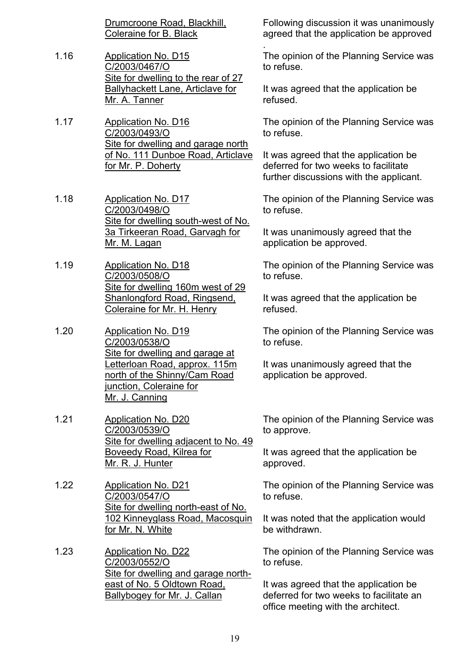Drumcroone Road, Blackhill, Coleraine for B. Black

- 1.16 Application No. D15 C/2003/0467/O Site for dwelling to the rear of 27 Ballyhackett Lane, Articlave for Mr. A. Tanner
- 1.17 Application No. D16 C/2003/0493/O Site for dwelling and garage north of No. 111 Dunboe Road, Articlave for Mr. P. Doherty
- 1.18 Application No. D17 C/2003/0498/O Site for dwelling south-west of No. 3a Tirkeeran Road, Garvagh for Mr. M. Lagan
- 1.19 Application No. D18 C/2003/0508/O Site for dwelling 160m west of 29 Shanlongford Road, Ringsend, Coleraine for Mr. H. Henry
- 1.20 Application No. D19 C/2003/0538/O Site for dwelling and garage at Letterloan Road, approx. 115m north of the Shinny/Cam Road junction, Coleraine for Mr. J. Canning
- 1.21 Application No. D20 C/2003/0539/O Site for dwelling adjacent to No. 49 Boveedy Road, Kilrea for Mr. R. J. Hunter
- 1.22 Application No. D21 C/2003/0547/O Site for dwelling north-east of No. 102 Kinneyglass Road, Macosquin for Mr. N. White
- 1.23 Application No. D22 C/2003/0552/O Site for dwelling and garage northeast of No. 5 Oldtown Road, Ballybogey for Mr. J. Callan

Following discussion it was unanimously agreed that the application be approved .

The opinion of the Planning Service was to refuse.

It was agreed that the application be refused.

The opinion of the Planning Service was to refuse.

It was agreed that the application be deferred for two weeks to facilitate further discussions with the applicant.

The opinion of the Planning Service was to refuse.

It was unanimously agreed that the application be approved.

The opinion of the Planning Service was to refuse.

It was agreed that the application be refused.

The opinion of the Planning Service was to refuse.

It was unanimously agreed that the application be approved.

The opinion of the Planning Service was to approve.

It was agreed that the application be approved.

The opinion of the Planning Service was to refuse.

It was noted that the application would be withdrawn.

The opinion of the Planning Service was to refuse.

It was agreed that the application be deferred for two weeks to facilitate an office meeting with the architect.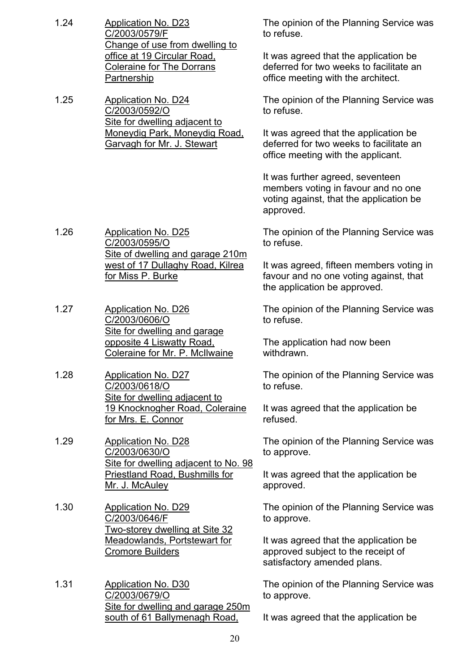1.24 Application No. D23 C/2003/0579/F Change of use from dwelling to office at 19 Circular Road, Coleraine for The Dorrans Partnership The opinion of the Planning Service was to refuse. It was agreed that the application be deferred for two weeks to facilitate an office meeting with the architect. 1.25 Application No. D24 C/2003/0592/O Site for dwelling adjacent to Moneydig Park, Moneydig Road, Garvagh for Mr. J. Stewart The opinion of the Planning Service was to refuse. It was agreed that the application be deferred for two weeks to facilitate an office meeting with the applicant. It was further agreed, seventeen members voting in favour and no one voting against, that the application be approved. 1.26 Application No. D25 C/2003/0595/O Site of dwelling and garage 210m west of 17 Dullaghy Road, Kilrea for Miss P. Burke The opinion of the Planning Service was to refuse. It was agreed, fifteen members voting in favour and no one voting against, that the application be approved. 1.27 Application No. D26 C/2003/0606/O Site for dwelling and garage opposite 4 Liswatty Road, Coleraine for Mr. P. McIlwaine The opinion of the Planning Service was to refuse. The application had now been withdrawn. 1.28 Application No. D27 C/2003/0618/O Site for dwelling adjacent to 19 Knocknogher Road, Coleraine for Mrs. E. Connor The opinion of the Planning Service was to refuse. It was agreed that the application be refused. 1.29 Application No. D28 C/2003/0630/O Site for dwelling adjacent to No. 98 Priestland Road, Bushmills for Mr. J. McAuley The opinion of the Planning Service was to approve. It was agreed that the application be approved. 1.30 Application No. D29 C/2003/0646/F Two-storey dwelling at Site 32 Meadowlands, Portstewart for Cromore Builders The opinion of the Planning Service was to approve. It was agreed that the application be approved subject to the receipt of satisfactory amended plans. 1.31 Application No. D30 C/2003/0679/O The opinion of the Planning Service was to approve.

It was agreed that the application be

Site for dwelling and garage 250m south of 61 Ballymenagh Road,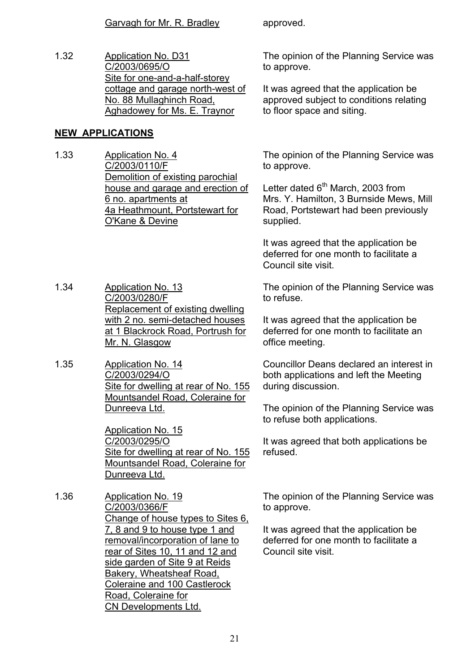1.32 Application No. D31 C/2003/0695/O Site for one-and-a-half-storey cottage and garage north-west of No. 88 Mullaghinch Road, Aghadowey for Ms. E. Traynor

#### **NEW APPLICATIONS**

- 1.33 Application No. 4 C/2003/0110/F Demolition of existing parochial house and garage and erection of 6 no. apartments at 4a Heathmount, Portstewart for O'Kane & Devine
- 1.34 Application No. 13 C/2003/0280/F Replacement of existing dwelling with 2 no. semi-detached houses at 1 Blackrock Road, Portrush for Mr. N. Glasgow
- 1.35 Application No. 14 C/2003/0294/O Site for dwelling at rear of No. 155 Mountsandel Road, Coleraine for Dunreeva Ltd.

Application No. 15 C/2003/0295/O Site for dwelling at rear of No. 155 Mountsandel Road, Coleraine for Dunreeva Ltd.

1.36 Application No. 19 C/2003/0366/F Change of house types to Sites 6, 7, 8 and 9 to house type 1 and removal/incorporation of lane to rear of Sites 10, 11 and 12 and side garden of Site 9 at Reids Bakery, Wheatsheaf Road, Coleraine and 100 Castlerock Road, Coleraine for CN Developments Ltd.

The opinion of the Planning Service was to approve.

It was agreed that the application be approved subject to conditions relating to floor space and siting.

The opinion of the Planning Service was to approve.

Letter dated  $6<sup>th</sup>$  March, 2003 from Mrs. Y. Hamilton, 3 Burnside Mews, Mill Road, Portstewart had been previously supplied.

It was agreed that the application be deferred for one month to facilitate a Council site visit.

The opinion of the Planning Service was to refuse.

It was agreed that the application be deferred for one month to facilitate an office meeting.

Councillor Deans declared an interest in both applications and left the Meeting during discussion.

The opinion of the Planning Service was to refuse both applications.

It was agreed that both applications be refused.

The opinion of the Planning Service was to approve.

It was agreed that the application be deferred for one month to facilitate a Council site visit.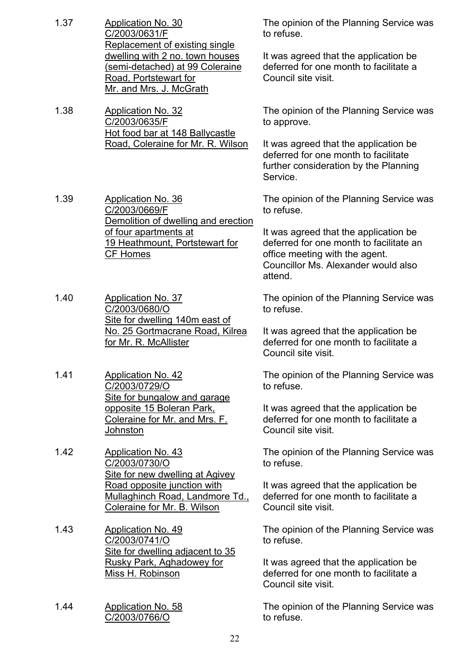1.37 Application No. 30 C/2003/0631/F Replacement of existing single dwelling with 2 no. town houses (semi-detached) at 99 Coleraine Road, Portstewart for Mr. and Mrs. J. McGrath The opinion of the Planning Service was to refuse. It was agreed that the application be deferred for one month to facilitate a Council site visit. 1.38 Application No. 32 C/2003/0635/F Hot food bar at 148 Ballycastle Road, Coleraine for Mr. R. Wilson The opinion of the Planning Service was to approve. It was agreed that the application be deferred for one month to facilitate further consideration by the Planning Service. 1.39 Application No. 36 C/2003/0669/F Demolition of dwelling and erection of four apartments at 19 Heathmount, Portstewart for CF Homes The opinion of the Planning Service was to refuse. It was agreed that the application be deferred for one month to facilitate an office meeting with the agent. Councillor Ms. Alexander would also attend. 1.40 Application No. 37 C/2003/0680/O Site for dwelling 140m east of No. 25 Gortmacrane Road, Kilrea for Mr. R. McAllister The opinion of the Planning Service was to refuse. It was agreed that the application be deferred for one month to facilitate a Council site visit. 1.41 Application No. 42 C/2003/0729/O Site for bungalow and garage opposite 15 Boleran Park, Coleraine for Mr. and Mrs. F. **Johnston** The opinion of the Planning Service was to refuse. It was agreed that the application be deferred for one month to facilitate a Council site visit. 1.42 Application No. 43 C/2003/0730/O Site for new dwelling at Agivey Road opposite junction with Mullaghinch Road, Landmore Td., Coleraine for Mr. B. Wilson The opinion of the Planning Service was to refuse. It was agreed that the application be deferred for one month to facilitate a Council site visit. 1.43 Application No. 49 C/2003/0741/O Site for dwelling adjacent to 35 Rusky Park, Aghadowey for Miss H. Robinson The opinion of the Planning Service was to refuse. It was agreed that the application be deferred for one month to facilitate a Council site visit. 1.44 Application No. 58 C/2003/0766/O The opinion of the Planning Service was to refuse.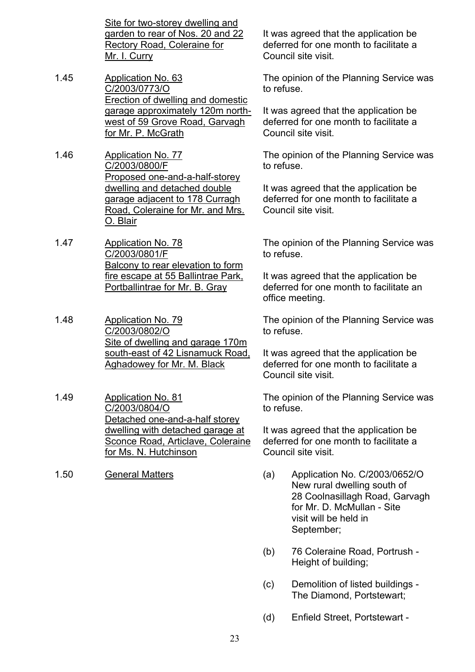Site for two-storey dwelling and garden to rear of Nos. 20 and 22 Rectory Road, Coleraine for Mr. I. Curry

- 1.45 Application No. 63 C/2003/0773/O Erection of dwelling and domestic garage approximately 120m northwest of 59 Grove Road, Garvagh for Mr. P. McGrath
- 1.46 Application No. 77 C/2003/0800/F Proposed one-and-a-half-storey dwelling and detached double garage adjacent to 178 Curragh Road, Coleraine for Mr. and Mrs. O. Blair
- 1.47 Application No. 78 C/2003/0801/F Balcony to rear elevation to form fire escape at 55 Ballintrae Park, Portballintrae for Mr. B. Gray
- 1.48 Application No. 79 C/2003/0802/O Site of dwelling and garage 170m south-east of 42 Lisnamuck Road, Aghadowey for Mr. M. Black
- 1.49 Application No. 81 C/2003/0804/O Detached one-and-a-half storey dwelling with detached garage at Sconce Road, Articlave, Coleraine for Ms. N. Hutchinson
- 

It was agreed that the application be deferred for one month to facilitate a Council site visit.

The opinion of the Planning Service was to refuse.

It was agreed that the application be deferred for one month to facilitate a Council site visit.

The opinion of the Planning Service was to refuse.

It was agreed that the application be deferred for one month to facilitate a Council site visit.

The opinion of the Planning Service was to refuse.

It was agreed that the application be deferred for one month to facilitate an office meeting.

The opinion of the Planning Service was to refuse.

It was agreed that the application be deferred for one month to facilitate a Council site visit.

The opinion of the Planning Service was to refuse.

It was agreed that the application be deferred for one month to facilitate a Council site visit.

- 1.50 General Matters (a) Application No. C/2003/0652/O New rural dwelling south of 28 Coolnasillagh Road, Garvagh for Mr. D. McMullan - Site visit will be held in September;
	- (b) 76 Coleraine Road, Portrush Height of building;
	- (c) Demolition of listed buildings The Diamond, Portstewart;
	- (d) Enfield Street, Portstewart -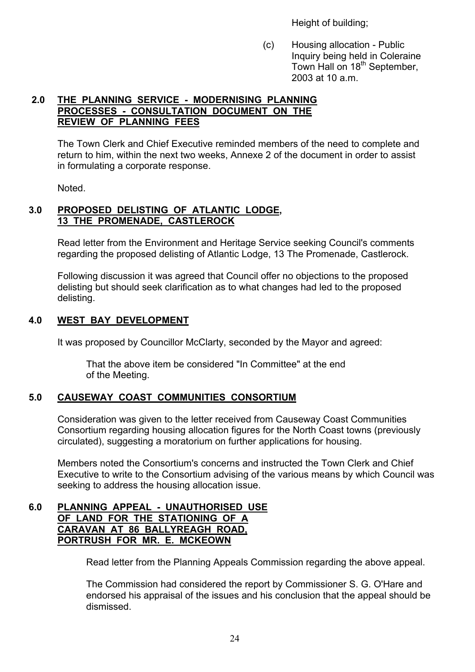Height of building;

(c) Housing allocation - Public Inquiry being held in Coleraine Town Hall on 18<sup>th</sup> September, 2003 at 10 a.m.

#### **2.0 THE PLANNING SERVICE - MODERNISING PLANNING PROCESSES - CONSULTATION DOCUMENT ON THE REVIEW OF PLANNING FEES**

 The Town Clerk and Chief Executive reminded members of the need to complete and return to him, within the next two weeks, Annexe 2 of the document in order to assist in formulating a corporate response.

Noted.

#### **3.0 PROPOSED DELISTING OF ATLANTIC LODGE, 13 THE PROMENADE, CASTLEROCK**

 Read letter from the Environment and Heritage Service seeking Council's comments regarding the proposed delisting of Atlantic Lodge, 13 The Promenade, Castlerock.

Following discussion it was agreed that Council offer no objections to the proposed delisting but should seek clarification as to what changes had led to the proposed delisting.

#### **4.0 WEST BAY DEVELOPMENT**

It was proposed by Councillor McClarty, seconded by the Mayor and agreed:

 That the above item be considered "In Committee" at the end of the Meeting.

#### **5.0 CAUSEWAY COAST COMMUNITIES CONSORTIUM**

 Consideration was given to the letter received from Causeway Coast Communities Consortium regarding housing allocation figures for the North Coast towns (previously circulated), suggesting a moratorium on further applications for housing.

 Members noted the Consortium's concerns and instructed the Town Clerk and Chief Executive to write to the Consortium advising of the various means by which Council was seeking to address the housing allocation issue.

#### **6.0 PLANNING APPEAL - UNAUTHORISED USE OF LAND FOR THE STATIONING OF A CARAVAN AT 86 BALLYREAGH ROAD, PORTRUSH FOR MR. E. MCKEOWN**

Read letter from the Planning Appeals Commission regarding the above appeal.

 The Commission had considered the report by Commissioner S. G. O'Hare and endorsed his appraisal of the issues and his conclusion that the appeal should be dismissed.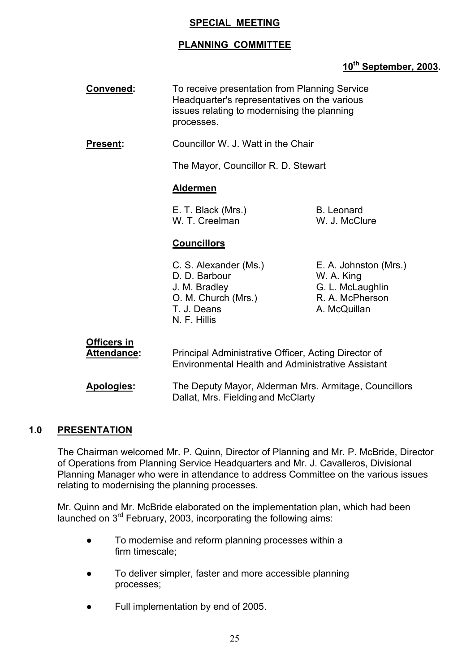#### **SPECIAL MEETING**

## **PLANNING COMMITTEE**

## **10th September, 2003.**

**Convened:** To receive presentation from Planning Service Headquarter's representatives on the various issues relating to modernising the planning processes.

**Present:** Councillor W. J. Watt in the Chair

The Mayor, Councillor R. D. Stewart

#### **Aldermen**

E. T. Black (Mrs.) B. Leonard W. T. Creelman W. J. McClure

#### **Councillors**

D. D. Barbour W. A. King J. M. Bradley G. L. McLaughlin O. M. Church (Mrs.) R. A. McPherson T. J. Deans A. McQuillan N. F. Hillis

C. S. Alexander (Ms.) E. A. Johnston (Mrs.)

# **Officers in**

Attendance: Principal Administrative Officer, Acting Director of Environmental Health and Administrative Assistant

 **Apologies:** The Deputy Mayor, Alderman Mrs. Armitage, Councillors Dallat, Mrs. Fielding and McClarty

#### **1.0 PRESENTATION**

The Chairman welcomed Mr. P. Quinn, Director of Planning and Mr. P. McBride, Director of Operations from Planning Service Headquarters and Mr. J. Cavalleros, Divisional Planning Manager who were in attendance to address Committee on the various issues relating to modernising the planning processes.

Mr. Quinn and Mr. McBride elaborated on the implementation plan, which had been launched on  $3<sup>rd</sup>$  February, 2003, incorporating the following aims:

- To modernise and reform planning processes within a firm timescale;
- To deliver simpler, faster and more accessible planning processes;
- Full implementation by end of 2005.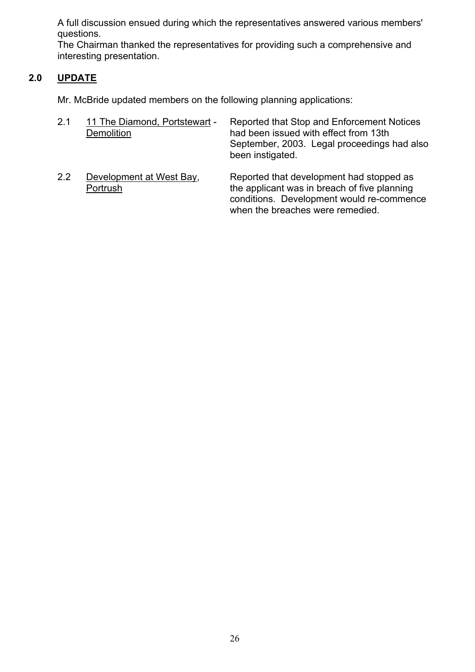A full discussion ensued during which the representatives answered various members' questions.

The Chairman thanked the representatives for providing such a comprehensive and interesting presentation.

## **2.0 UPDATE**

Mr. McBride updated members on the following planning applications:

| 2.1 | 11 The Diamond, Portstewart -<br><b>Demolition</b> | Reported that Stop and Enforcement Notices<br>had been issued with effect from 13th<br>September, 2003. Legal proceedings had also<br>been instigated. |
|-----|----------------------------------------------------|--------------------------------------------------------------------------------------------------------------------------------------------------------|
| 2.2 | Development at West Bay,                           | Reported that development had stopped as                                                                                                               |

Portrush the applicant was in breach of five planning conditions. Development would re-commence when the breaches were remedied.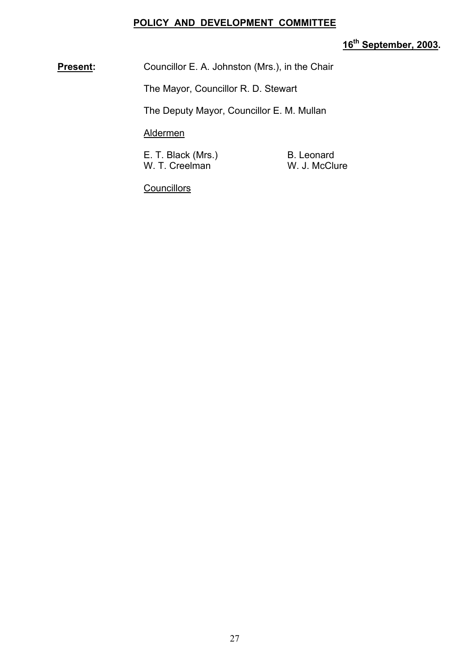#### **POLICY AND DEVELOPMENT COMMITTEE**

## **16th September, 2003.**

**Present:** Councillor E. A. Johnston (Mrs.), in the Chair

The Mayor, Councillor R. D. Stewart

The Deputy Mayor, Councillor E. M. Mullan

Aldermen

E. T. Black (Mrs.) B. Leonard<br>
W. T. Creelman M. J. McClure W. T. Creelman

**Councillors**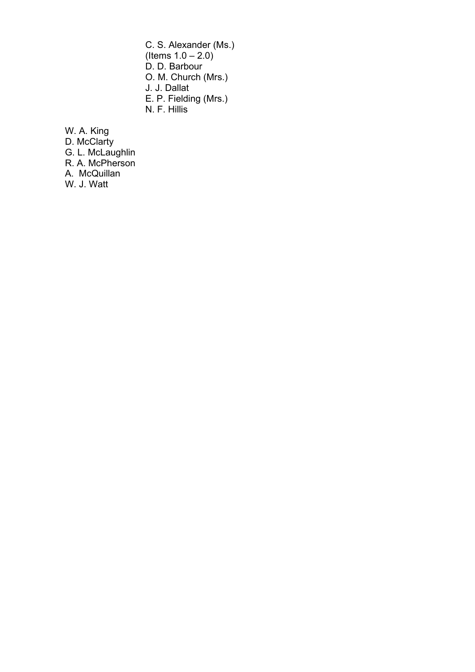C. S. Alexander (Ms.) (Items  $1.0 - 2.0$ ) D. D. Barbour O. M. Church (Mrs.) J. J. Dallat E. P. Fielding (Mrs.) N. F. Hillis

W. A. King

D. McClarty

G. L. McLaughlin

R. A. McPherson

A. McQuillan

W. J. Watt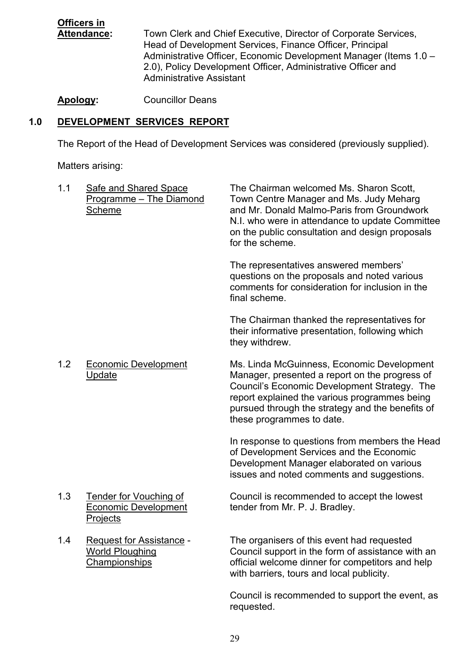**Officers in Attendance:** Town Clerk and Chief Executive, Director of Corporate Services, Head of Development Services, Finance Officer, Principal Administrative Officer, Economic Development Manager (Items 1.0 -2.0), Policy Development Officer, Administrative Officer and Administrative Assistant

**Apology:** Councillor Deans

## **1.0 DEVELOPMENT SERVICES REPORT**

The Report of the Head of Development Services was considered (previously supplied).

Matters arising:

| 1.1 | <b>Safe and Shared Space</b><br>Programme - The Diamond<br>Scheme                 | The Chairman welcomed Ms. Sharon Scott,<br>Town Centre Manager and Ms. Judy Meharg<br>and Mr. Donald Malmo-Paris from Groundwork<br>N.I. who were in attendance to update Committee<br>on the public consultation and design proposals<br>for the scheme.                      |
|-----|-----------------------------------------------------------------------------------|--------------------------------------------------------------------------------------------------------------------------------------------------------------------------------------------------------------------------------------------------------------------------------|
|     |                                                                                   | The representatives answered members'<br>questions on the proposals and noted various<br>comments for consideration for inclusion in the<br>final scheme.                                                                                                                      |
|     |                                                                                   | The Chairman thanked the representatives for<br>their informative presentation, following which<br>they withdrew.                                                                                                                                                              |
| 1.2 | <b>Economic Development</b><br><b>Update</b>                                      | Ms. Linda McGuinness, Economic Development<br>Manager, presented a report on the progress of<br>Council's Economic Development Strategy. The<br>report explained the various programmes being<br>pursued through the strategy and the benefits of<br>these programmes to date. |
|     |                                                                                   | In response to questions from members the Head<br>of Development Services and the Economic<br>Development Manager elaborated on various<br>issues and noted comments and suggestions.                                                                                          |
| 1.3 | <b>Tender for Vouching of</b><br><b>Economic Development</b><br>Projects          | Council is recommended to accept the lowest<br>tender from Mr. P. J. Bradley.                                                                                                                                                                                                  |
| 1.4 | <b>Request for Assistance -</b><br><b>World Ploughing</b><br><b>Championships</b> | The organisers of this event had requested<br>Council support in the form of assistance with an<br>official welcome dinner for competitors and help                                                                                                                            |

Council is recommended to support the event, as requested.

with barriers, tours and local publicity.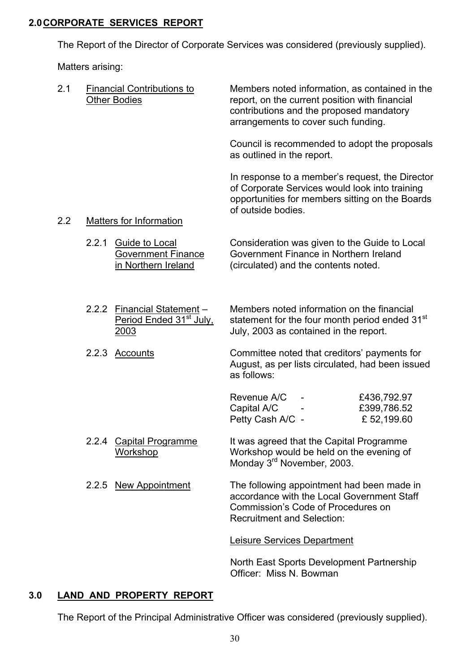#### **2.0 CORPORATE SERVICES REPORT**

The Report of the Director of Corporate Services was considered (previously supplied).

Matters arising:

| 2.1 | <b>Financial Contributions to</b><br><b>Other Bodies</b> |                                                                            | Members noted information, as contained in the<br>report, on the current position with financial<br>contributions and the proposed mandatory<br>arrangements to cover such funding. |                                          |
|-----|----------------------------------------------------------|----------------------------------------------------------------------------|-------------------------------------------------------------------------------------------------------------------------------------------------------------------------------------|------------------------------------------|
|     |                                                          |                                                                            | Council is recommended to adopt the proposals<br>as outlined in the report.                                                                                                         |                                          |
|     |                                                          |                                                                            | In response to a member's request, the Director<br>of Corporate Services would look into training<br>opportunities for members sitting on the Boards<br>of outside bodies.          |                                          |
| 2.2 |                                                          | <b>Matters for Information</b>                                             |                                                                                                                                                                                     |                                          |
|     | 2.2.1                                                    | Guide to Local<br><b>Government Finance</b><br>in Northern Ireland         | Consideration was given to the Guide to Local<br>Government Finance in Northern Ireland<br>(circulated) and the contents noted.                                                     |                                          |
|     |                                                          | 2.2.2 Financial Statement -<br>Period Ended 31 <sup>st</sup> July,<br>2003 | Members noted information on the financial<br>statement for the four month period ended 31 <sup>st</sup><br>July, 2003 as contained in the report.                                  |                                          |
|     | 2.2.3                                                    | <u>Accounts</u>                                                            | Committee noted that creditors' payments for<br>August, as per lists circulated, had been issued<br>as follows:                                                                     |                                          |
|     |                                                          |                                                                            | Revenue A/C<br>Capital A/C<br>Petty Cash A/C -                                                                                                                                      | £436,792.97<br>£399,786.52<br>£52,199.60 |
|     | 2.2.4                                                    | Capital Programme<br>Workshop                                              | It was agreed that the Capital Programme<br>Workshop would be held on the evening of<br>Monday 3 <sup>rd</sup> November, 2003.                                                      |                                          |
|     |                                                          | 2.2.5 New Appointment                                                      | The following appointment had been made in<br>accordance with the Local Government Staff<br>Commission's Code of Procedures on<br><b>Recruitment and Selection:</b>                 |                                          |
|     |                                                          |                                                                            | Leisure Services Department                                                                                                                                                         |                                          |
|     |                                                          |                                                                            |                                                                                                                                                                                     |                                          |

North East Sports Development Partnership Officer: Miss N. Bowman

## **3.0 LAND AND PROPERTY REPORT**

The Report of the Principal Administrative Officer was considered (previously supplied).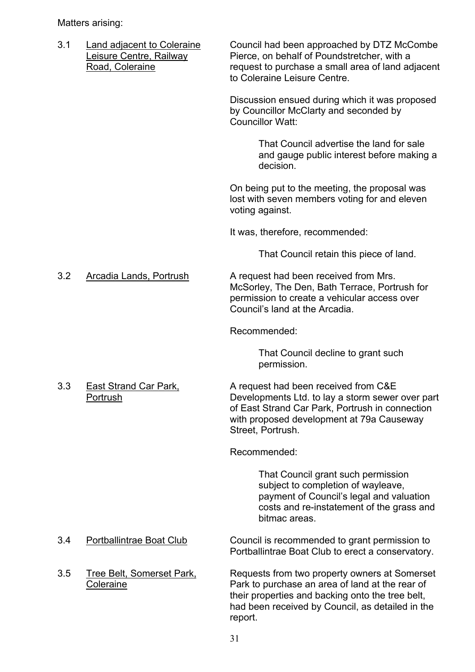Matters arising:

3.1 Land adjacent to Coleraine Council had been approached by DTZ McCombe Leisure Centre, Railway **Pierce**, on behalf of Poundstretcher, with a Road, Coleraine **Road, Coleraine** request to purchase a small area of land adjacent to Coleraine Leisure Centre. Discussion ensued during which it was proposed by Councillor McClarty and seconded by Councillor Watt: That Council advertise the land for sale and gauge public interest before making a decision. On being put to the meeting, the proposal was lost with seven members voting for and eleven voting against. It was, therefore, recommended: That Council retain this piece of land. 3.2 Arcadia Lands, Portrush A request had been received from Mrs. McSorley, The Den, Bath Terrace, Portrush for permission to create a vehicular access over Councilís land at the Arcadia. Recommended: That Council decline to grant such permission. 3.3 East Strand Car Park, A request had been received from C&E Portrush Developments Ltd. to lay a storm sewer over part of East Strand Car Park, Portrush in connection with proposed development at 79a Causeway Street, Portrush. Recommended: That Council grant such permission subject to completion of wayleave. payment of Council's legal and valuation costs and re-instatement of the grass and bitmac areas. 3.4 Portballintrae Boat Club Council is recommended to grant permission to Portballintrae Boat Club to erect a conservatory. 3.5 Tree Belt, Somerset Park, Requests from two property owners at Somerset Coleraine **Park to purchase an area of land at the rear of**  their properties and backing onto the tree belt, had been received by Council, as detailed in the report.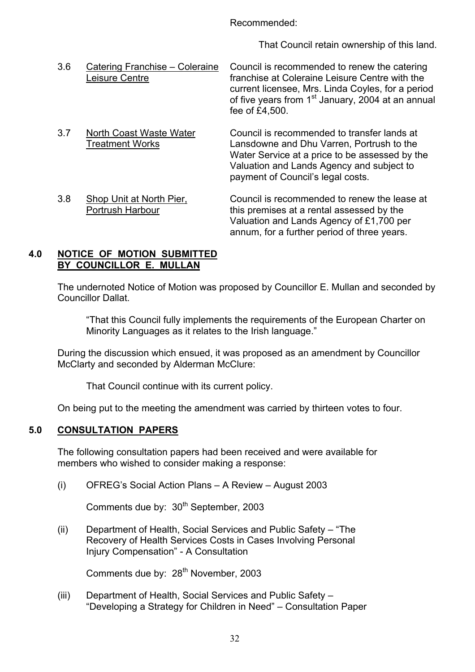Recommended:

That Council retain ownership of this land.

| 3.6 | Catering Franchise - Coleraine<br>Leisure Centre  | Council is recommended to renew the catering<br>franchise at Coleraine Leisure Centre with the<br>current licensee, Mrs. Linda Coyles, for a period<br>of five years from 1 <sup>st</sup> January, 2004 at an annual<br>fee of £4,500. |
|-----|---------------------------------------------------|----------------------------------------------------------------------------------------------------------------------------------------------------------------------------------------------------------------------------------------|
| 3.7 | North Coast Waste Water<br><b>Treatment Works</b> | Council is recommended to transfer lands at<br>Lansdowne and Dhu Varren, Portrush to the<br>Water Service at a price to be assessed by the<br>Valuation and Lands Agency and subject to<br>payment of Council's legal costs.           |
| 3.8 | Shop Unit at North Pier,<br>Portrush Harbour      | Council is recommended to renew the lease at<br>this premises at a rental assessed by the<br>Valuation and Lands Agency of £1,700 per<br>annum, for a further period of three years.                                                   |

#### **4.0 NOTICE OF MOTION SUBMITTED BY COUNCILLOR E. MULLAN**

The undernoted Notice of Motion was proposed by Councillor E. Mullan and seconded by Councillor Dallat.

 ìThat this Council fully implements the requirements of the European Charter on Minority Languages as it relates to the Irish language."

 During the discussion which ensued, it was proposed as an amendment by Councillor McClarty and seconded by Alderman McClure:

That Council continue with its current policy.

On being put to the meeting the amendment was carried by thirteen votes to four.

#### **5.0 CONSULTATION PAPERS**

The following consultation papers had been received and were available for members who wished to consider making a response:

(i) OFREG's Social Action Plans  $- A$  Review  $- A$ ugust 2003

Comments due by: 30<sup>th</sup> September, 2003

(ii) Department of Health, Social Services and Public Safety  $-$  "The Recovery of Health Services Costs in Cases Involving Personal Injury Compensation" - A Consultation

Comments due by: 28<sup>th</sup> November, 2003

(iii) Department of Health, Social Services and Public Safety  $-$ "Developing a Strategy for Children in Need" – Consultation Paper